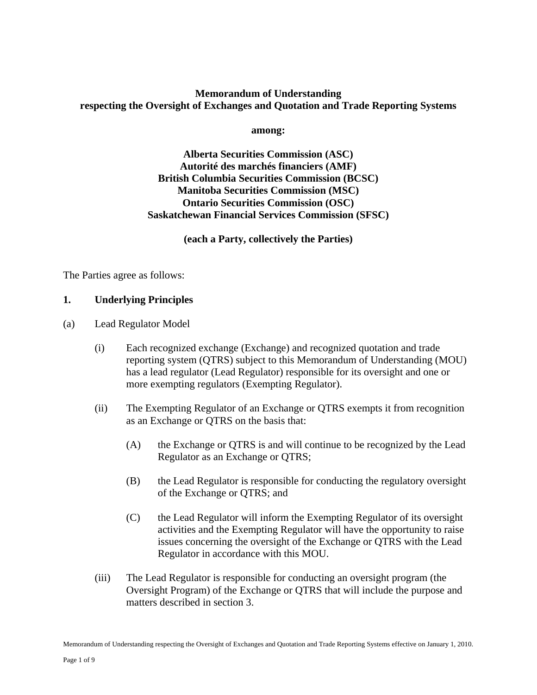## **Memorandum of Understanding respecting the Oversight of Exchanges and Quotation and Trade Reporting Systems**

**among:** 

**Alberta Securities Commission (ASC) Autorité des marchés financiers (AMF) British Columbia Securities Commission (BCSC) Manitoba Securities Commission (MSC) Ontario Securities Commission (OSC) Saskatchewan Financial Services Commission (SFSC)** 

**(each a Party, collectively the Parties)** 

The Parties agree as follows:

## **1. Underlying Principles**

- (a) Lead Regulator Model
	- (i) Each recognized exchange (Exchange) and recognized quotation and trade reporting system (QTRS) subject to this Memorandum of Understanding (MOU) has a lead regulator (Lead Regulator) responsible for its oversight and one or more exempting regulators (Exempting Regulator).
	- (ii) The Exempting Regulator of an Exchange or QTRS exempts it from recognition as an Exchange or QTRS on the basis that:
		- (A) the Exchange or QTRS is and will continue to be recognized by the Lead Regulator as an Exchange or QTRS;
		- (B) the Lead Regulator is responsible for conducting the regulatory oversight of the Exchange or QTRS; and
		- (C) the Lead Regulator will inform the Exempting Regulator of its oversight activities and the Exempting Regulator will have the opportunity to raise issues concerning the oversight of the Exchange or QTRS with the Lead Regulator in accordance with this MOU.
	- (iii) The Lead Regulator is responsible for conducting an oversight program (the Oversight Program) of the Exchange or QTRS that will include the purpose and matters described in section 3.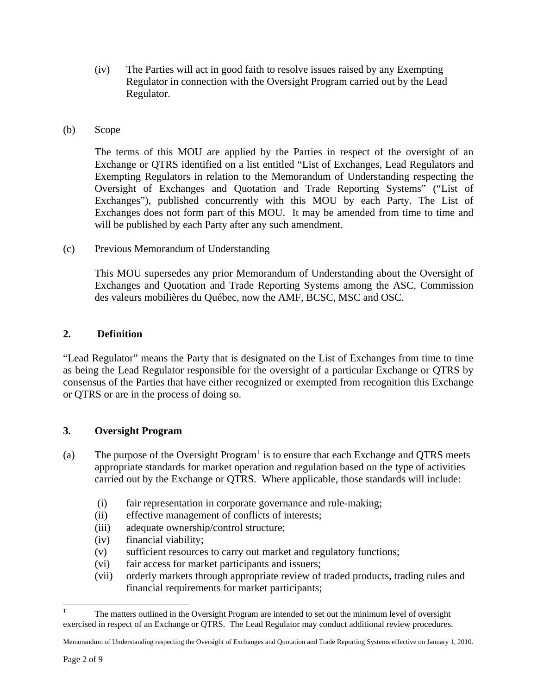(iv) The Parties will act in good faith to resolve issues raised by any Exempting Regulator in connection with the Oversight Program carried out by the Lead Regulator.

## (b) Scope

The terms of this MOU are applied by the Parties in respect of the oversight of an Exchange or QTRS identified on a list entitled "List of Exchanges, Lead Regulators and Exempting Regulators in relation to the Memorandum of Understanding respecting the Oversight of Exchanges and Quotation and Trade Reporting Systems" ("List of Exchanges"), published concurrently with this MOU by each Party. The List of Exchanges does not form part of this MOU. It may be amended from time to time and will be published by each Party after any such amendment.

(c) Previous Memorandum of Understanding

This MOU supersedes any prior Memorandum of Understanding about the Oversight of Exchanges and Quotation and Trade Reporting Systems among the ASC, Commission des valeurs mobilières du Québec, now the AMF, BCSC, MSC and OSC.

## **2. Definition**

"Lead Regulator" means the Party that is designated on the List of Exchanges from time to time as being the Lead Regulator responsible for the oversight of a particular Exchange or QTRS by consensus of the Parties that have either recognized or exempted from recognition this Exchange or QTRS or are in the process of doing so.

#### **3. Oversight Program**

- (a) The purpose of the Oversight Program<sup>[1](#page-1-0)</sup> is to ensure that each Exchange and QTRS meets appropriate standards for market operation and regulation based on the type of activities carried out by the Exchange or QTRS. Where applicable, those standards will include:
	- (i) fair representation in corporate governance and rule-making;
	- (ii) effective management of conflicts of interests;
	- (iii) adequate ownership/control structure;
	- (iv) financial viability;
	- (v) sufficient resources to carry out market and regulatory functions;
	- (vi) fair access for market participants and issuers;
	- (vii) orderly markets through appropriate review of traded products, trading rules and financial requirements for market participants;

<span id="page-1-0"></span> $\overline{\phantom{a}}$ 1 The matters outlined in the Oversight Program are intended to set out the minimum level of oversight exercised in respect of an Exchange or QTRS. The Lead Regulator may conduct additional review procedures.

Memorandum of Understanding respecting the Oversight of Exchanges and Quotation and Trade Reporting Systems effective on January 1, 2010.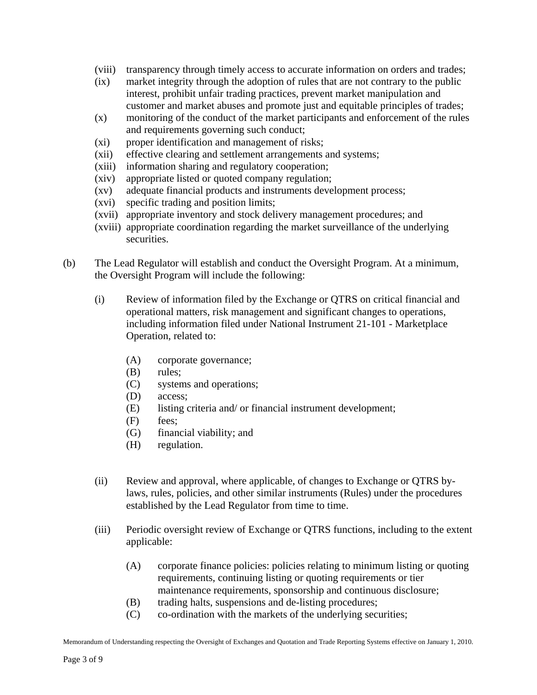- (viii) transparency through timely access to accurate information on orders and trades;
- (ix) market integrity through the adoption of rules that are not contrary to the public interest, prohibit unfair trading practices, prevent market manipulation and customer and market abuses and promote just and equitable principles of trades;
- (x) monitoring of the conduct of the market participants and enforcement of the rules and requirements governing such conduct;
- (xi) proper identification and management of risks;
- (xii) effective clearing and settlement arrangements and systems;
- (xiii) information sharing and regulatory cooperation;
- (xiv) appropriate listed or quoted company regulation;
- (xv) adequate financial products and instruments development process;
- (xvi) specific trading and position limits;
- (xvii) appropriate inventory and stock delivery management procedures; and
- (xviii) appropriate coordination regarding the market surveillance of the underlying securities.
- (b) The Lead Regulator will establish and conduct the Oversight Program. At a minimum, the Oversight Program will include the following:
	- (i) Review of information filed by the Exchange or QTRS on critical financial and operational matters, risk management and significant changes to operations, including information filed under National Instrument 21-101 - Marketplace Operation, related to:
		- (A) corporate governance;
		- (B) rules;
		- (C) systems and operations;
		- (D) access;
		- (E) listing criteria and/ or financial instrument development;
		- (F) fees;
		- (G) financial viability; and
		- (H) regulation.
	- (ii) Review and approval, where applicable, of changes to Exchange or QTRS bylaws, rules, policies, and other similar instruments (Rules) under the procedures established by the Lead Regulator from time to time.
	- (iii) Periodic oversight review of Exchange or QTRS functions, including to the extent applicable:
		- (A) corporate finance policies: policies relating to minimum listing or quoting requirements, continuing listing or quoting requirements or tier maintenance requirements, sponsorship and continuous disclosure;
		- (B) trading halts, suspensions and de-listing procedures;
		- (C) co-ordination with the markets of the underlying securities;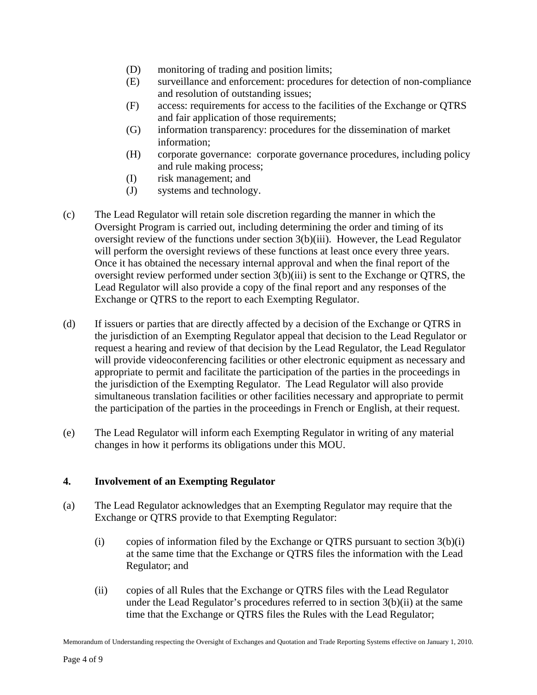- (D) monitoring of trading and position limits;
- (E) surveillance and enforcement: procedures for detection of non-compliance and resolution of outstanding issues;
- (F) access: requirements for access to the facilities of the Exchange or QTRS and fair application of those requirements;
- (G) information transparency: procedures for the dissemination of market information;
- (H) corporate governance: corporate governance procedures, including policy and rule making process;
- (I) risk management; and
- (J) systems and technology.
- (c) The Lead Regulator will retain sole discretion regarding the manner in which the Oversight Program is carried out, including determining the order and timing of its oversight review of the functions under section 3(b)(iii). However, the Lead Regulator will perform the oversight reviews of these functions at least once every three years. Once it has obtained the necessary internal approval and when the final report of the oversight review performed under section 3(b)(iii) is sent to the Exchange or QTRS, the Lead Regulator will also provide a copy of the final report and any responses of the Exchange or QTRS to the report to each Exempting Regulator.
- (d) If issuers or parties that are directly affected by a decision of the Exchange or QTRS in the jurisdiction of an Exempting Regulator appeal that decision to the Lead Regulator or request a hearing and review of that decision by the Lead Regulator, the Lead Regulator will provide videoconferencing facilities or other electronic equipment as necessary and appropriate to permit and facilitate the participation of the parties in the proceedings in the jurisdiction of the Exempting Regulator. The Lead Regulator will also provide simultaneous translation facilities or other facilities necessary and appropriate to permit the participation of the parties in the proceedings in French or English, at their request.
- (e) The Lead Regulator will inform each Exempting Regulator in writing of any material changes in how it performs its obligations under this MOU.

# **4. Involvement of an Exempting Regulator**

- (a) The Lead Regulator acknowledges that an Exempting Regulator may require that the Exchange or QTRS provide to that Exempting Regulator:
	- (i) copies of information filed by the Exchange or QTRS pursuant to section  $3(b)(i)$ at the same time that the Exchange or QTRS files the information with the Lead Regulator; and
	- (ii) copies of all Rules that the Exchange or QTRS files with the Lead Regulator under the Lead Regulator's procedures referred to in section  $3(b)(ii)$  at the same time that the Exchange or QTRS files the Rules with the Lead Regulator;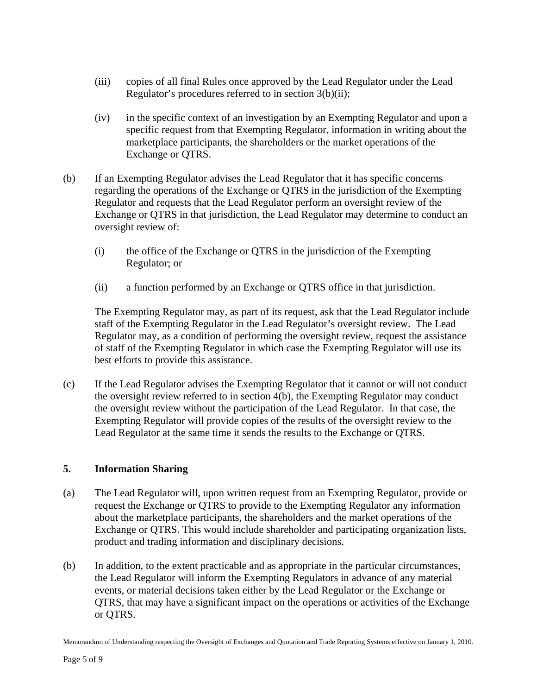- (iii) copies of all final Rules once approved by the Lead Regulator under the Lead Regulator's procedures referred to in section 3(b)(ii);
- (iv) in the specific context of an investigation by an Exempting Regulator and upon a specific request from that Exempting Regulator, information in writing about the marketplace participants, the shareholders or the market operations of the Exchange or QTRS.
- (b) If an Exempting Regulator advises the Lead Regulator that it has specific concerns regarding the operations of the Exchange or QTRS in the jurisdiction of the Exempting Regulator and requests that the Lead Regulator perform an oversight review of the Exchange or QTRS in that jurisdiction, the Lead Regulator may determine to conduct an oversight review of:
	- (i) the office of the Exchange or QTRS in the jurisdiction of the Exempting Regulator; or
	- (ii) a function performed by an Exchange or QTRS office in that jurisdiction.

The Exempting Regulator may, as part of its request, ask that the Lead Regulator include staff of the Exempting Regulator in the Lead Regulator's oversight review. The Lead Regulator may, as a condition of performing the oversight review, request the assistance of staff of the Exempting Regulator in which case the Exempting Regulator will use its best efforts to provide this assistance.

(c) If the Lead Regulator advises the Exempting Regulator that it cannot or will not conduct the oversight review referred to in section 4(b), the Exempting Regulator may conduct the oversight review without the participation of the Lead Regulator. In that case, the Exempting Regulator will provide copies of the results of the oversight review to the Lead Regulator at the same time it sends the results to the Exchange or QTRS.

# **5. Information Sharing**

- (a) The Lead Regulator will, upon written request from an Exempting Regulator, provide or request the Exchange or QTRS to provide to the Exempting Regulator any information about the marketplace participants, the shareholders and the market operations of the Exchange or QTRS. This would include shareholder and participating organization lists, product and trading information and disciplinary decisions.
- (b) In addition, to the extent practicable and as appropriate in the particular circumstances, the Lead Regulator will inform the Exempting Regulators in advance of any material events, or material decisions taken either by the Lead Regulator or the Exchange or QTRS, that may have a significant impact on the operations or activities of the Exchange or QTRS.

Memorandum of Understanding respecting the Oversight of Exchanges and Quotation and Trade Reporting Systems effective on January 1, 2010.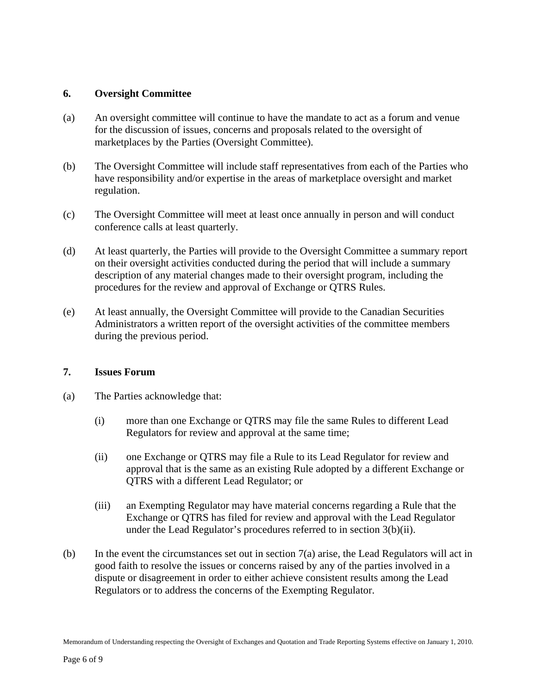#### **6. Oversight Committee**

- (a) An oversight committee will continue to have the mandate to act as a forum and venue for the discussion of issues, concerns and proposals related to the oversight of marketplaces by the Parties (Oversight Committee).
- (b) The Oversight Committee will include staff representatives from each of the Parties who have responsibility and/or expertise in the areas of marketplace oversight and market regulation.
- (c) The Oversight Committee will meet at least once annually in person and will conduct conference calls at least quarterly.
- (d) At least quarterly, the Parties will provide to the Oversight Committee a summary report on their oversight activities conducted during the period that will include a summary description of any material changes made to their oversight program, including the procedures for the review and approval of Exchange or QTRS Rules.
- (e) At least annually, the Oversight Committee will provide to the Canadian Securities Administrators a written report of the oversight activities of the committee members during the previous period.

#### **7. Issues Forum**

- (a) The Parties acknowledge that:
	- (i) more than one Exchange or QTRS may file the same Rules to different Lead Regulators for review and approval at the same time;
	- (ii) one Exchange or QTRS may file a Rule to its Lead Regulator for review and approval that is the same as an existing Rule adopted by a different Exchange or QTRS with a different Lead Regulator; or
	- (iii) an Exempting Regulator may have material concerns regarding a Rule that the Exchange or QTRS has filed for review and approval with the Lead Regulator under the Lead Regulator's procedures referred to in section 3(b)(ii).
- (b) In the event the circumstances set out in section  $7(a)$  arise, the Lead Regulators will act in good faith to resolve the issues or concerns raised by any of the parties involved in a dispute or disagreement in order to either achieve consistent results among the Lead Regulators or to address the concerns of the Exempting Regulator.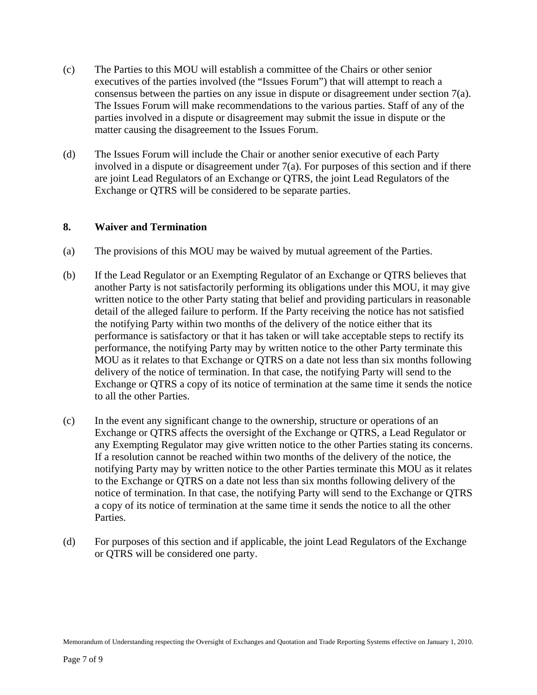- (c) The Parties to this MOU will establish a committee of the Chairs or other senior executives of the parties involved (the "Issues Forum") that will attempt to reach a consensus between the parties on any issue in dispute or disagreement under section 7(a). The Issues Forum will make recommendations to the various parties. Staff of any of the parties involved in a dispute or disagreement may submit the issue in dispute or the matter causing the disagreement to the Issues Forum.
- (d) The Issues Forum will include the Chair or another senior executive of each Party involved in a dispute or disagreement under 7(a). For purposes of this section and if there are joint Lead Regulators of an Exchange or QTRS, the joint Lead Regulators of the Exchange or QTRS will be considered to be separate parties.

## **8. Waiver and Termination**

- (a) The provisions of this MOU may be waived by mutual agreement of the Parties.
- (b) If the Lead Regulator or an Exempting Regulator of an Exchange or QTRS believes that another Party is not satisfactorily performing its obligations under this MOU, it may give written notice to the other Party stating that belief and providing particulars in reasonable detail of the alleged failure to perform. If the Party receiving the notice has not satisfied the notifying Party within two months of the delivery of the notice either that its performance is satisfactory or that it has taken or will take acceptable steps to rectify its performance, the notifying Party may by written notice to the other Party terminate this MOU as it relates to that Exchange or QTRS on a date not less than six months following delivery of the notice of termination. In that case, the notifying Party will send to the Exchange or QTRS a copy of its notice of termination at the same time it sends the notice to all the other Parties.
- (c) In the event any significant change to the ownership, structure or operations of an Exchange or QTRS affects the oversight of the Exchange or QTRS, a Lead Regulator or any Exempting Regulator may give written notice to the other Parties stating its concerns. If a resolution cannot be reached within two months of the delivery of the notice, the notifying Party may by written notice to the other Parties terminate this MOU as it relates to the Exchange or QTRS on a date not less than six months following delivery of the notice of termination. In that case, the notifying Party will send to the Exchange or QTRS a copy of its notice of termination at the same time it sends the notice to all the other Parties.
- (d) For purposes of this section and if applicable, the joint Lead Regulators of the Exchange or QTRS will be considered one party.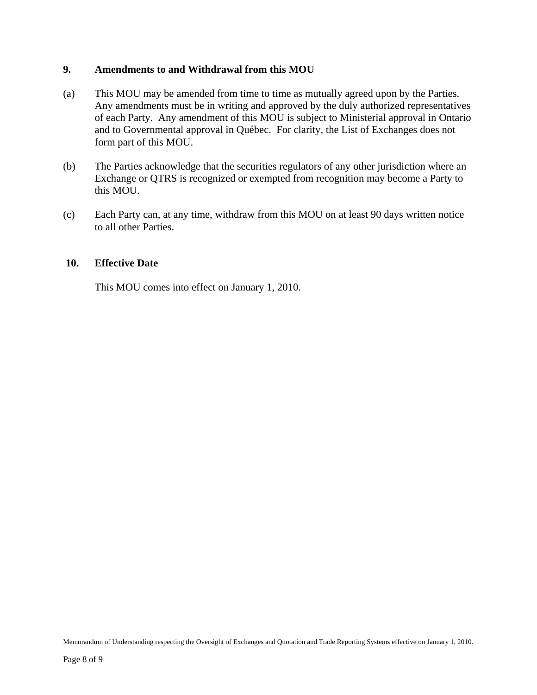#### **9. Amendments to and Withdrawal from this MOU**

- (a) This MOU may be amended from time to time as mutually agreed upon by the Parties. Any amendments must be in writing and approved by the duly authorized representatives of each Party. Any amendment of this MOU is subject to Ministerial approval in Ontario and to Governmental approval in Québec. For clarity, the List of Exchanges does not form part of this MOU.
- (b) The Parties acknowledge that the securities regulators of any other jurisdiction where an Exchange or QTRS is recognized or exempted from recognition may become a Party to this MOU.
- (c) Each Party can, at any time, withdraw from this MOU on at least 90 days written notice to all other Parties.

#### **10. Effective Date**

This MOU comes into effect on January 1, 2010.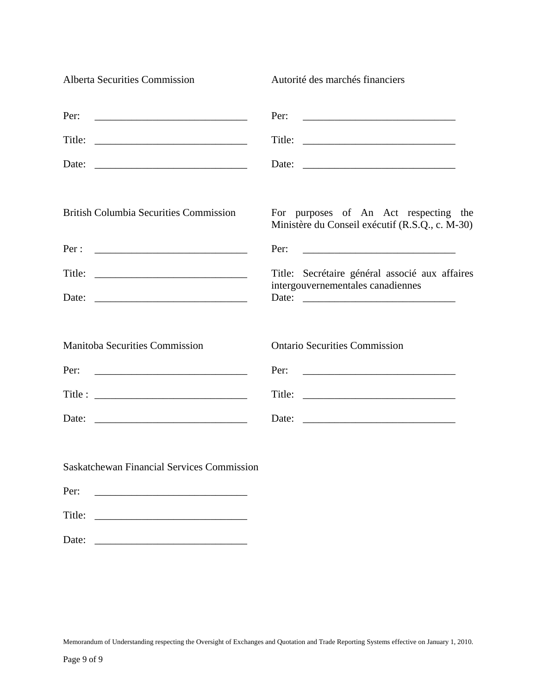| <b>Alberta Securities Commission</b>              | Autorité des marchés financiers                                                                                               |  |  |
|---------------------------------------------------|-------------------------------------------------------------------------------------------------------------------------------|--|--|
| Per:                                              | Per:                                                                                                                          |  |  |
|                                                   |                                                                                                                               |  |  |
|                                                   | Date: $\frac{1}{\sqrt{1-\frac{1}{2}} \cdot \frac{1}{2}}$                                                                      |  |  |
| <b>British Columbia Securities Commission</b>     | For purposes of An Act respecting the<br>Ministère du Conseil exécutif (R.S.Q., c. M-30)                                      |  |  |
| $Per: \t 1$                                       | Per:<br><u> 1980 - Johann Barn, mars eta biztanleria (h. 1905).</u>                                                           |  |  |
| Title:                                            | Title: Secrétaire général associé aux affaires                                                                                |  |  |
|                                                   | intergouvernementales canadiennes                                                                                             |  |  |
| <b>Manitoba Securities Commission</b>             | <b>Ontario Securities Commission</b>                                                                                          |  |  |
| Per:                                              | Per:<br><u> 1980 - Johann Barn, mars eta bainar eta baina eta baina eta baina eta baina eta baina eta baina eta baina eta</u> |  |  |
|                                                   |                                                                                                                               |  |  |
|                                                   |                                                                                                                               |  |  |
|                                                   |                                                                                                                               |  |  |
| <b>Saskatchewan Financial Services Commission</b> |                                                                                                                               |  |  |
| Per:                                              |                                                                                                                               |  |  |
| Title:                                            |                                                                                                                               |  |  |
| Date:                                             |                                                                                                                               |  |  |

Memorandum of Understanding respecting the Oversight of Exchanges and Quotation and Trade Reporting Systems effective on January 1, 2010.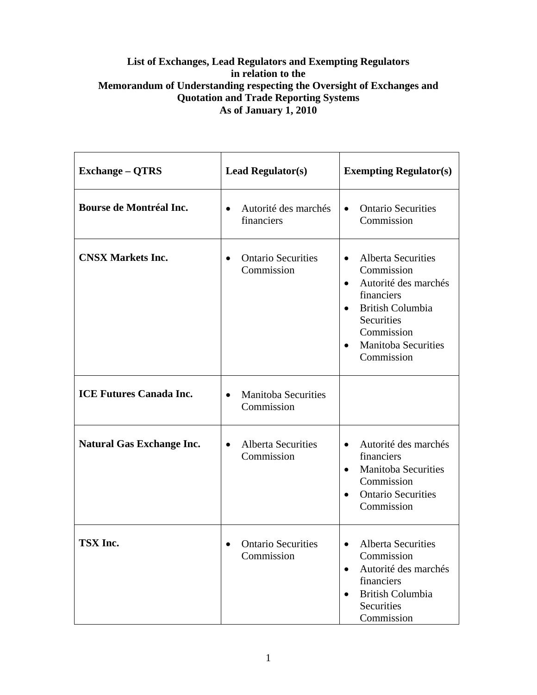# **List of Exchanges, Lead Regulators and Exempting Regulators in relation to the Memorandum of Understanding respecting the Oversight of Exchanges and Quotation and Trade Reporting Systems As of January 1, 2010**

| <b>Exchange – QTRS</b>           | <b>Lead Regulator(s)</b>                              | <b>Exempting Regulator(s)</b>                                                                                                                                                                                                        |
|----------------------------------|-------------------------------------------------------|--------------------------------------------------------------------------------------------------------------------------------------------------------------------------------------------------------------------------------------|
| Bourse de Montréal Inc.          | Autorité des marchés<br>$\bullet$<br>financiers       | <b>Ontario Securities</b><br>$\bullet$<br>Commission                                                                                                                                                                                 |
| <b>CNSX Markets Inc.</b>         | <b>Ontario Securities</b><br>$\bullet$<br>Commission  | <b>Alberta Securities</b><br>$\bullet$<br>Commission<br>Autorité des marchés<br>$\bullet$<br>financiers<br><b>British Columbia</b><br>$\bullet$<br>Securities<br>Commission<br><b>Manitoba Securities</b><br>$\bullet$<br>Commission |
| <b>ICE Futures Canada Inc.</b>   | <b>Manitoba Securities</b><br>$\bullet$<br>Commission |                                                                                                                                                                                                                                      |
| <b>Natural Gas Exchange Inc.</b> | <b>Alberta Securities</b><br>$\bullet$<br>Commission  | Autorité des marchés<br>$\bullet$<br>financiers<br><b>Manitoba Securities</b><br>$\bullet$<br>Commission<br><b>Ontario Securities</b><br>$\bullet$<br>Commission                                                                     |
| <b>TSX</b> Inc.                  | <b>Ontario Securities</b><br>$\bullet$<br>Commission  | <b>Alberta Securities</b><br>$\bullet$<br>Commission<br>Autorité des marchés<br>$\bullet$<br>financiers<br><b>British Columbia</b><br>$\bullet$<br>Securities<br>Commission                                                          |